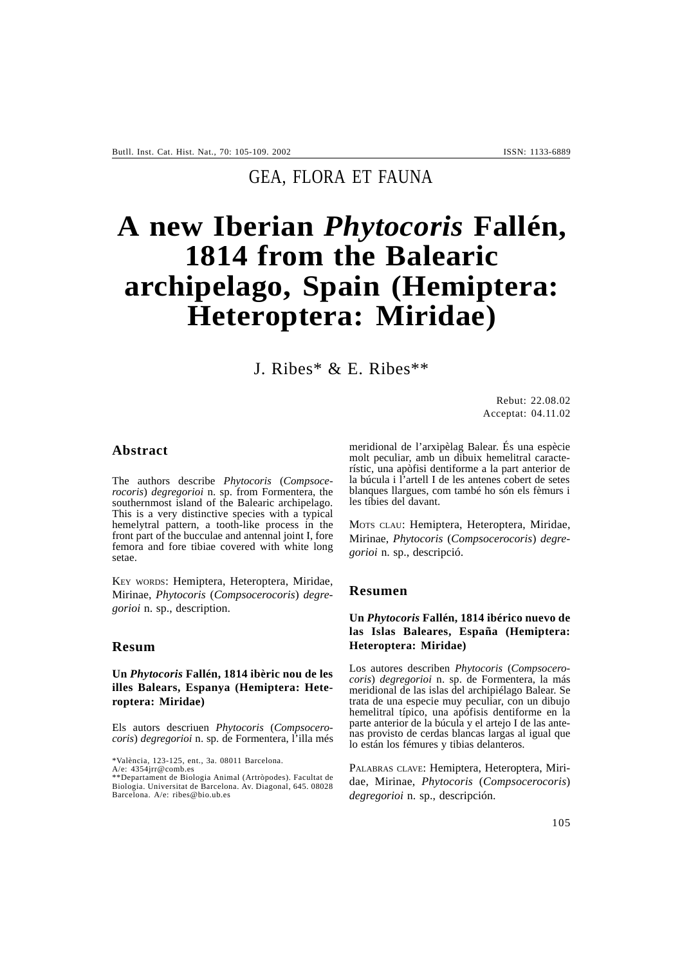# GEA, FLORA ET FAUNA

# **A new Iberian** *Phytocoris* **Fallén, 1814 from the Balearic archipelago, Spain (Hemiptera: Heteroptera: Miridae)**

J. Ribes\* & E. Ribes\*\*

Rebut: 22.08.02 Acceptat: 04.11.02

# **Abstract**

The authors describe *Phytocoris* (*Compsocerocoris*) *degregorioi* n. sp. from Formentera, the southernmost island of the Balearic archipelago. This is a very distinctive species with a typical hemelytral pattern, a tooth-like process in the front part of the bucculae and antennal joint I, fore femora and fore tibiae covered with white long setae.

KEY WORDS: Hemiptera, Heteroptera, Miridae, Mirinae, *Phytocoris* (*Compsocerocoris*) *degregorioi* n. sp., description.

# **Resum**

## **Un** *Phytocoris* **Fallén, 1814 ibèric nou de les illes Balears, Espanya (Hemiptera: Heteroptera: Miridae)**

Els autors descriuen *Phytocoris* (*Compsocerocoris*) *degregorioi* n. sp. de Formentera, l'illa més

\*València, 123-125, ent., 3a. 08011 Barcelona.

A/e: 4354jrr@comb.es \*\*Departament de Biologia Animal (Artròpodes). Facultat de Biologia. Universitat de Barcelona. Av. Diagonal, 645. 08028 Barcelona. A/e: ribes@bio.ub.es

meridional de l'arxipèlag Balear. És una espècie molt peculiar, amb un dibuix hemelitral característic, una apòfisi dentiforme a la part anterior de la búcula i l'artell I de les antenes cobert de setes blanques llargues, com també ho són els fèmurs i les tíbies del davant.

MOTS CLAU: Hemiptera, Heteroptera, Miridae, Mirinae, *Phytocoris* (*Compsocerocoris*) *degregorioi* n. sp., descripció.

#### **Resumen**

# **Un** *Phytocoris* **Fallén, 1814 ibérico nuevo de las Islas Baleares, España (Hemiptera: Heteroptera: Miridae)**

Los autores describen *Phytocoris* (*Compsocerocoris*) *degregorioi* n. sp. de Formentera, la más meridional de las islas del archipiélago Balear. Se trata de una especie muy peculiar, con un dibujo hemelitral típico, una apófisis dentiforme en la parte anterior de la búcula y el artejo I de las antenas provisto de cerdas blancas largas al igual que lo están los fémures y tibias delanteros.

PALABRAS CLAVE: Hemiptera, Heteroptera, Miridae, Mirinae, *Phytocoris* (*Compsocerocoris*) *degregorioi* n. sp., descripción.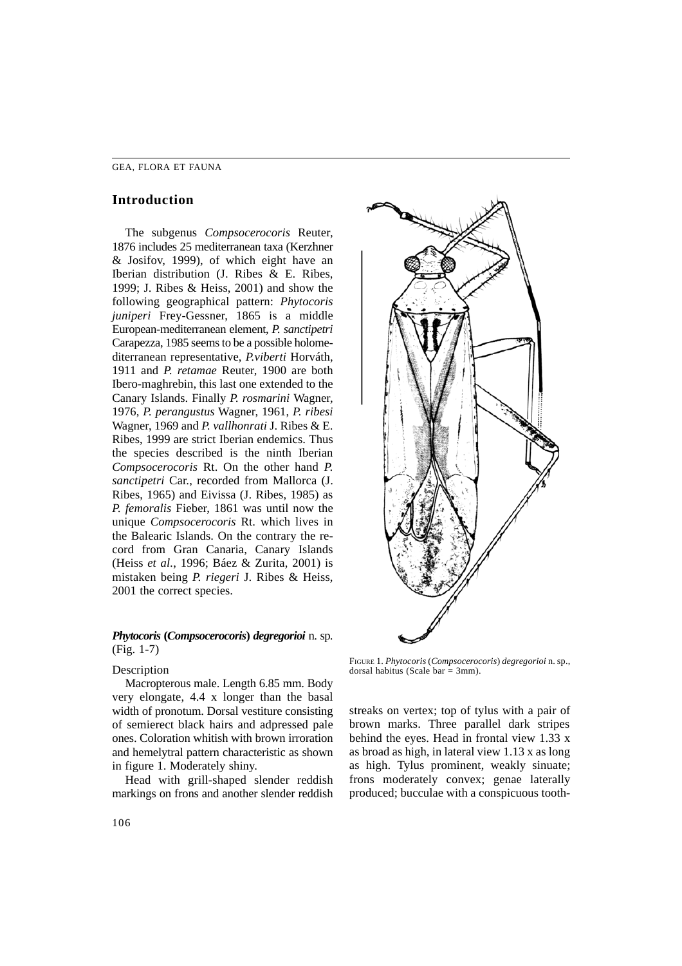#### GEA, FLORA ET FAUNA

# **Introduction**

The subgenus *Compsocerocoris* Reuter, 1876 includes 25 mediterranean taxa (Kerzhner & Josifov, 1999), of which eight have an Iberian distribution (J. Ribes & E. Ribes, 1999; J. Ribes & Heiss, 2001) and show the following geographical pattern: *Phytocoris juniperi* Frey-Gessner, 1865 is a middle European-mediterranean element, *P. sanctipetri* Carapezza, 1985 seems to be a possible holomediterranean representative, *P.viberti* Horváth, 1911 and *P. retamae* Reuter, 1900 are both Ibero-maghrebin, this last one extended to the Canary Islands. Finally *P. rosmarini* Wagner, 1976, *P. perangustus* Wagner, 1961, *P. ribesi* Wagner, 1969 and *P. vallhonrati* J. Ribes & E. Ribes, 1999 are strict Iberian endemics. Thus the species described is the ninth Iberian *Compsocerocoris* Rt. On the other hand *P. sanctipetri* Car., recorded from Mallorca (J. Ribes, 1965) and Eivissa (J. Ribes, 1985) as *P. femoralis* Fieber, 1861 was until now the unique *Compsocerocoris* Rt. which lives in the Balearic Islands. On the contrary the record from Gran Canaria, Canary Islands (Heiss *et al.*, 1996; Báez & Zurita, 2001) is mistaken being *P. riegeri* J. Ribes & Heiss, 2001 the correct species.

# *Phytocoris* **(***Compsocerocoris***)** *degregorioi* n. sp. (Fig. 1-7)

#### Description

Macropterous male. Length 6.85 mm. Body very elongate, 4.4 x longer than the basal width of pronotum. Dorsal vestiture consisting of semierect black hairs and adpressed pale ones. Coloration whitish with brown irroration and hemelytral pattern characteristic as shown in figure 1. Moderately shiny.

Head with grill-shaped slender reddish markings on frons and another slender reddish



FIGURE 1. *Phytocoris* (*Compsocerocoris*) *degregorioi* n. sp., dorsal habitus (Scale bar  $=$  3mm).

streaks on vertex; top of tylus with a pair of brown marks. Three parallel dark stripes behind the eyes. Head in frontal view 1.33 x as broad as high, in lateral view 1.13 x as long as high. Tylus prominent, weakly sinuate; frons moderately convex; genae laterally produced; bucculae with a conspicuous tooth-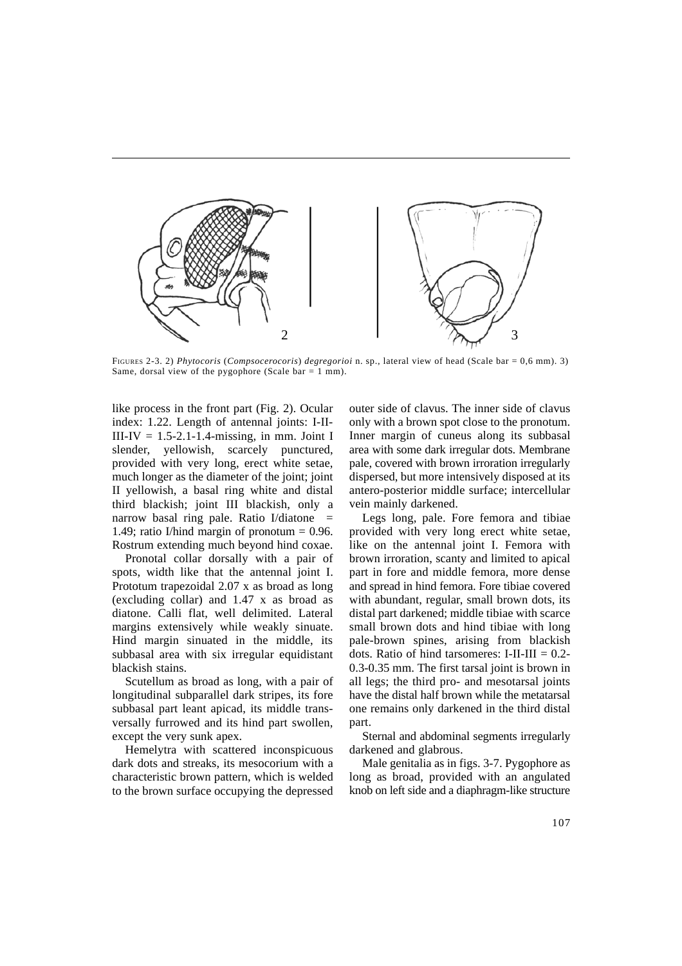

FIGURES 2-3. 2) *Phytocoris* (*Compsocerocoris*) *degregorioi* n. sp., lateral view of head (Scale bar = 0,6 mm). 3) Same, dorsal view of the pygophore (Scale bar =  $1$  mm).

like process in the front part (Fig. 2). Ocular index: 1.22. Length of antennal joints: I-II- $III-IV = 1.5-2.1-1.4-missing, in mm. Joint I$ slender, yellowish, scarcely punctured, provided with very long, erect white setae, much longer as the diameter of the joint; joint II yellowish, a basal ring white and distal third blackish; joint III blackish, only a narrow basal ring pale. Ratio I/diatone  $=$ 1.49; ratio I/hind margin of pronotum  $= 0.96$ . Rostrum extending much beyond hind coxae.

Pronotal collar dorsally with a pair of spots, width like that the antennal joint I. Prototum trapezoidal 2.07 x as broad as long (excluding collar) and 1.47 x as broad as diatone. Calli flat, well delimited. Lateral margins extensively while weakly sinuate. Hind margin sinuated in the middle, its subbasal area with six irregular equidistant blackish stains.

Scutellum as broad as long, with a pair of longitudinal subparallel dark stripes, its fore subbasal part leant apicad, its middle transversally furrowed and its hind part swollen, except the very sunk apex.

Hemelytra with scattered inconspicuous dark dots and streaks, its mesocorium with a characteristic brown pattern, which is welded to the brown surface occupying the depressed outer side of clavus. The inner side of clavus only with a brown spot close to the pronotum. Inner margin of cuneus along its subbasal area with some dark irregular dots. Membrane pale, covered with brown irroration irregularly dispersed, but more intensively disposed at its antero-posterior middle surface; intercellular vein mainly darkened.

Legs long, pale. Fore femora and tibiae provided with very long erect white setae, like on the antennal joint I. Femora with brown irroration, scanty and limited to apical part in fore and middle femora, more dense and spread in hind femora. Fore tibiae covered with abundant, regular, small brown dots, its distal part darkened; middle tibiae with scarce small brown dots and hind tibiae with long pale-brown spines, arising from blackish dots. Ratio of hind tarsomeres: I-II-III  $= 0.2$ -0.3-0.35 mm. The first tarsal joint is brown in all legs; the third pro- and mesotarsal joints have the distal half brown while the metatarsal one remains only darkened in the third distal part.

Sternal and abdominal segments irregularly darkened and glabrous.

Male genitalia as in figs. 3-7. Pygophore as long as broad, provided with an angulated knob on left side and a diaphragm-like structure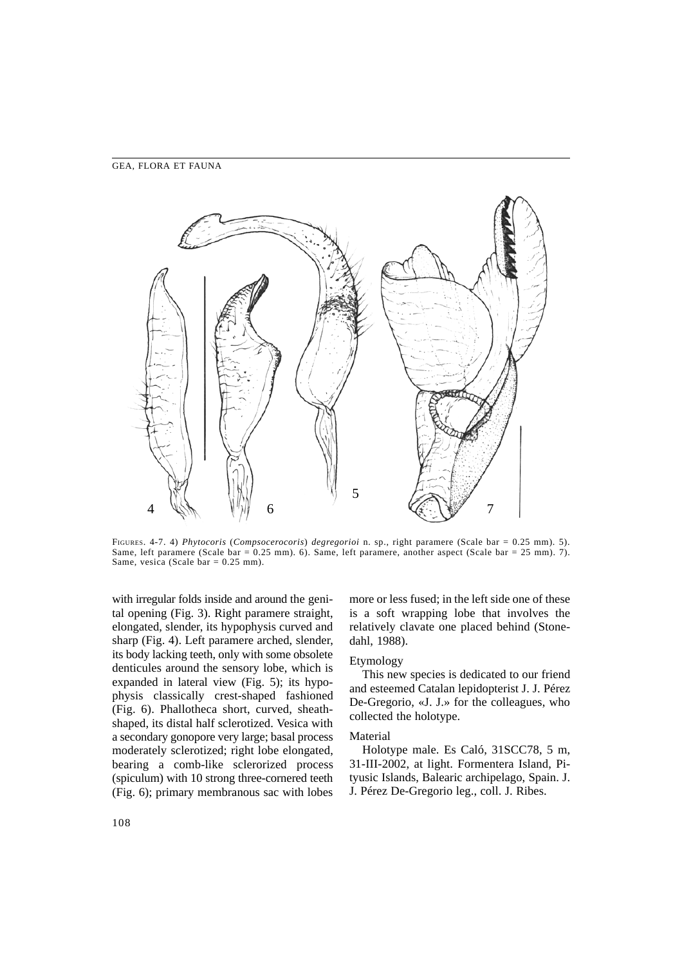

FIGURES. 4-7. 4) *Phytocoris* (*Compsocerocoris*) *degregorioi* n. sp., right paramere (Scale bar = 0.25 mm). 5). Same, left paramere (Scale bar = 0.25 mm). 6). Same, left paramere, another aspect (Scale bar = 25 mm). 7). Same, vesica (Scale bar  $= 0.25$  mm).

with irregular folds inside and around the genital opening (Fig. 3). Right paramere straight, elongated, slender, its hypophysis curved and sharp (Fig. 4). Left paramere arched, slender, its body lacking teeth, only with some obsolete denticules around the sensory lobe, which is expanded in lateral view (Fig. 5); its hypophysis classically crest-shaped fashioned (Fig. 6). Phallotheca short, curved, sheathshaped, its distal half sclerotized. Vesica with a secondary gonopore very large; basal process moderately sclerotized; right lobe elongated, bearing a comb-like sclerorized process (spiculum) with 10 strong three-cornered teeth (Fig. 6); primary membranous sac with lobes

more or less fused; in the left side one of these is a soft wrapping lobe that involves the relatively clavate one placed behind (Stonedahl, 1988).

# Etymology

This new species is dedicated to our friend and esteemed Catalan lepidopterist J. J. Pérez De-Gregorio, «J. J.» for the colleagues, who collected the holotype.

#### Material

Holotype male. Es Caló, 31SCC78, 5 m, 31-III-2002, at light. Formentera Island, Pityusic Islands, Balearic archipelago, Spain. J. J. Pérez De-Gregorio leg., coll. J. Ribes.